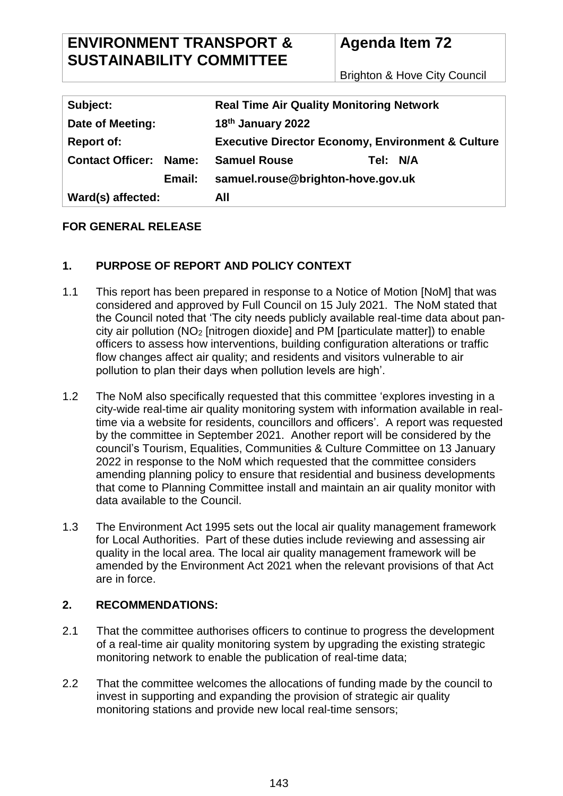## **ENVIRONMENT TRANSPORT & SUSTAINABILITY COMMITTEE**

# **Agenda Item 72**

Brighton & Hove City Council

| Subject:                      | <b>Real Time Air Quality Monitoring Network</b>              |
|-------------------------------|--------------------------------------------------------------|
| Date of Meeting:              | 18th January 2022                                            |
| <b>Report of:</b>             | <b>Executive Director Economy, Environment &amp; Culture</b> |
| <b>Contact Officer: Name:</b> | Tel: N/A<br><b>Samuel Rouse</b>                              |
| Email:                        | samuel.rouse@brighton-hove.gov.uk                            |
| Ward(s) affected:             | All                                                          |

## **FOR GENERAL RELEASE**

## **1. PURPOSE OF REPORT AND POLICY CONTEXT**

- 1.1 This report has been prepared in response to a Notice of Motion [NoM] that was considered and approved by Full Council on 15 July 2021. The NoM stated that the Council noted that 'The city needs publicly available real-time data about pancity air pollution (NO<sup>2</sup> [nitrogen dioxide] and PM [particulate matter]) to enable officers to assess how interventions, building configuration alterations or traffic flow changes affect air quality; and residents and visitors vulnerable to air pollution to plan their days when pollution levels are high'.
- 1.2 The NoM also specifically requested that this committee 'explores investing in a city-wide real-time air quality monitoring system with information available in realtime via a website for residents, councillors and officers'. A report was requested by the committee in September 2021. Another report will be considered by the council's Tourism, Equalities, Communities & Culture Committee on 13 January 2022 in response to the NoM which requested that the committee considers amending planning policy to ensure that residential and business developments that come to Planning Committee install and maintain an air quality monitor with data available to the Council.
- 1.3 The Environment Act 1995 sets out the local air quality management framework for Local Authorities. Part of these duties include reviewing and assessing air quality in the local area. The local air quality management framework will be amended by the Environment Act 2021 when the relevant provisions of that Act are in force.

## **2. RECOMMENDATIONS:**

- 2.1 That the committee authorises officers to continue to progress the development of a real-time air quality monitoring system by upgrading the existing strategic monitoring network to enable the publication of real-time data;
- 2.2 That the committee welcomes the allocations of funding made by the council to invest in supporting and expanding the provision of strategic air quality monitoring stations and provide new local real-time sensors;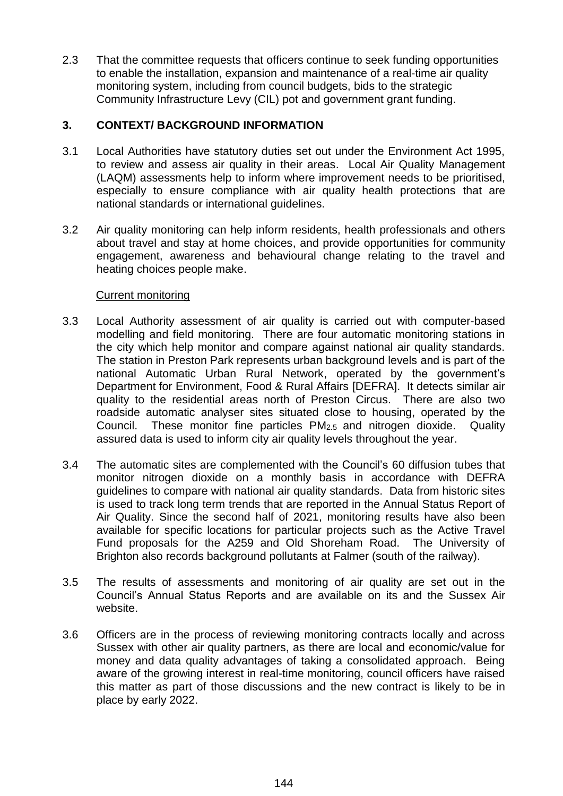2.3 That the committee requests that officers continue to seek funding opportunities to enable the installation, expansion and maintenance of a real-time air quality monitoring system, including from council budgets, bids to the strategic Community Infrastructure Levy (CIL) pot and government grant funding.

## **3. CONTEXT/ BACKGROUND INFORMATION**

- 3.1 Local Authorities have statutory duties set out under the Environment Act 1995, to review and assess air quality in their areas. Local Air Quality Management (LAQM) assessments help to inform where improvement needs to be prioritised, especially to ensure compliance with air quality health protections that are national standards or international guidelines.
- 3.2 Air quality monitoring can help inform residents, health professionals and others about travel and stay at home choices, and provide opportunities for community engagement, awareness and behavioural change relating to the travel and heating choices people make.

#### Current monitoring

- 3.3 Local Authority assessment of air quality is carried out with computer-based modelling and field monitoring. There are four automatic monitoring stations in the city which help monitor and compare against national air quality standards. The station in Preston Park represents urban background levels and is part of the national Automatic Urban Rural Network, operated by the government's Department for Environment, Food & Rural Affairs [DEFRA]. It detects similar air quality to the residential areas north of Preston Circus. There are also two roadside automatic analyser sites situated close to housing, operated by the Council. These monitor fine particles PM2.5 and nitrogen dioxide. Quality assured data is used to inform city air quality levels throughout the year.
- 3.4 The automatic sites are complemented with the Council's 60 diffusion tubes that monitor nitrogen dioxide on a monthly basis in accordance with DEFRA guidelines to compare with national air quality standards. Data from historic sites is used to track long term trends that are reported in the Annual Status Report of Air Quality. Since the second half of 2021, monitoring results have also been available for specific locations for particular projects such as the Active Travel Fund proposals for the A259 and Old Shoreham Road. The University of Brighton also records background pollutants at Falmer (south of the railway).
- 3.5 The results of assessments and monitoring of air quality are set out in the Council's Annual Status Reports and are available on its and the Sussex Air website.
- 3.6 Officers are in the process of reviewing monitoring contracts locally and across Sussex with other air quality partners, as there are local and economic/value for money and data quality advantages of taking a consolidated approach. Being aware of the growing interest in real-time monitoring, council officers have raised this matter as part of those discussions and the new contract is likely to be in place by early 2022.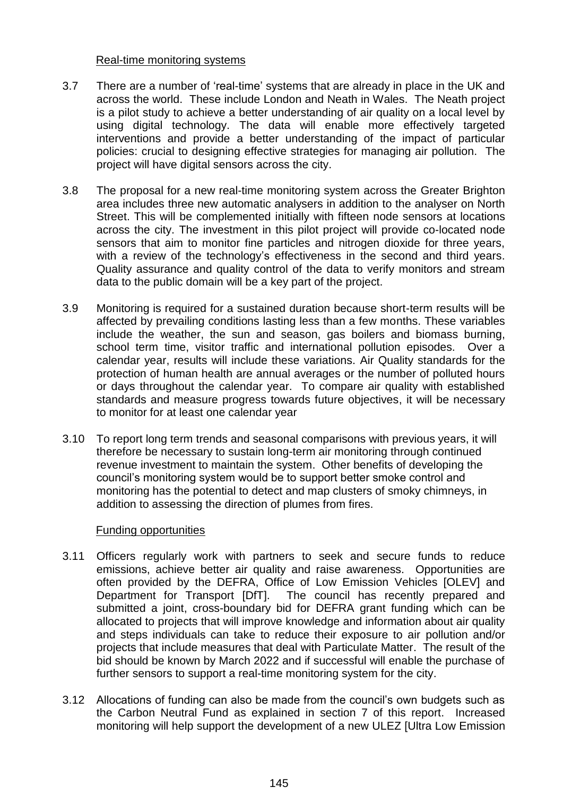#### Real-time monitoring systems

- 3.7 There are a number of 'real-time' systems that are already in place in the UK and across the world. These include London and Neath in Wales. The Neath project is a pilot study to achieve a better understanding of air quality on a local level by using digital technology. The data will enable more effectively targeted interventions and provide a better understanding of the impact of particular policies: crucial to designing effective strategies for managing air pollution. The project will have digital sensors across the city.
- 3.8 The proposal for a new real-time monitoring system across the Greater Brighton area includes three new automatic analysers in addition to the analyser on North Street. This will be complemented initially with fifteen node sensors at locations across the city. The investment in this pilot project will provide co-located node sensors that aim to monitor fine particles and nitrogen dioxide for three years, with a review of the technology's effectiveness in the second and third years. Quality assurance and quality control of the data to verify monitors and stream data to the public domain will be a key part of the project.
- 3.9 Monitoring is required for a sustained duration because short-term results will be affected by prevailing conditions lasting less than a few months. These variables include the weather, the sun and season, gas boilers and biomass burning, school term time, visitor traffic and international pollution episodes. Over a calendar year, results will include these variations. Air Quality standards for the protection of human health are annual averages or the number of polluted hours or days throughout the calendar year. To compare air quality with established standards and measure progress towards future objectives, it will be necessary to monitor for at least one calendar year
- 3.10 To report long term trends and seasonal comparisons with previous years, it will therefore be necessary to sustain long-term air monitoring through continued revenue investment to maintain the system. Other benefits of developing the council's monitoring system would be to support better smoke control and monitoring has the potential to detect and map clusters of smoky chimneys, in addition to assessing the direction of plumes from fires.

#### Funding opportunities

- 3.11 Officers regularly work with partners to seek and secure funds to reduce emissions, achieve better air quality and raise awareness. Opportunities are often provided by the DEFRA, Office of Low Emission Vehicles [OLEV] and Department for Transport [DfT]. The council has recently prepared and submitted a joint, cross-boundary bid for DEFRA grant funding which can be allocated to projects that will improve knowledge and information about air quality and steps individuals can take to reduce their exposure to air pollution and/or projects that include measures that deal with Particulate Matter. The result of the bid should be known by March 2022 and if successful will enable the purchase of further sensors to support a real-time monitoring system for the city.
- 3.12 Allocations of funding can also be made from the council's own budgets such as the Carbon Neutral Fund as explained in section 7 of this report. Increased monitoring will help support the development of a new ULEZ [Ultra Low Emission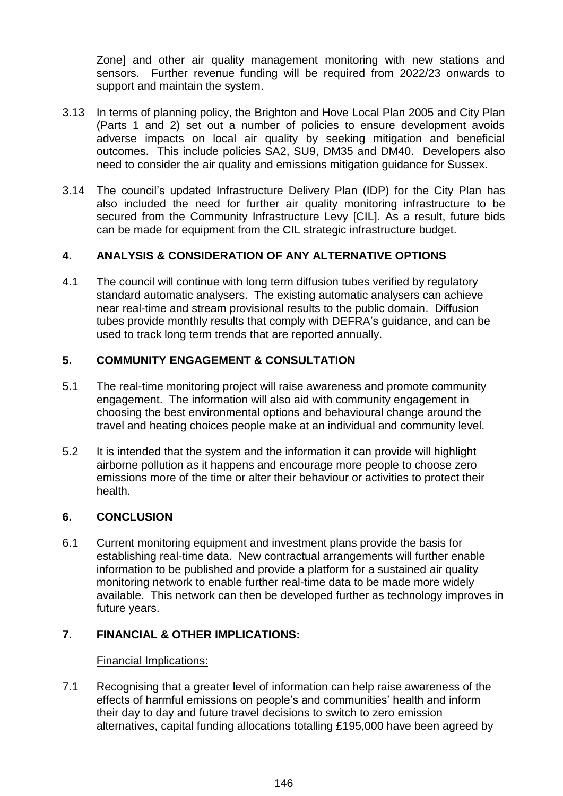Zone] and other air quality management monitoring with new stations and sensors. Further revenue funding will be required from 2022/23 onwards to support and maintain the system.

- 3.13 In terms of planning policy, the Brighton and Hove Local Plan 2005 and City Plan (Parts 1 and 2) set out a number of policies to ensure development avoids adverse impacts on local air quality by seeking mitigation and beneficial outcomes. This include policies SA2, SU9, DM35 and DM40. Developers also need to consider the air quality and emissions mitigation guidance for Sussex.
- 3.14 The council's updated Infrastructure Delivery Plan (IDP) for the City Plan has also included the need for further air quality monitoring infrastructure to be secured from the Community Infrastructure Levy [CIL]. As a result, future bids can be made for equipment from the CIL strategic infrastructure budget.

## **4. ANALYSIS & CONSIDERATION OF ANY ALTERNATIVE OPTIONS**

4.1 The council will continue with long term diffusion tubes verified by regulatory standard automatic analysers. The existing automatic analysers can achieve near real-time and stream provisional results to the public domain. Diffusion tubes provide monthly results that comply with DEFRA's guidance, and can be used to track long term trends that are reported annually.

## **5. COMMUNITY ENGAGEMENT & CONSULTATION**

- 5.1 The real-time monitoring project will raise awareness and promote community engagement. The information will also aid with community engagement in choosing the best environmental options and behavioural change around the travel and heating choices people make at an individual and community level.
- 5.2 It is intended that the system and the information it can provide will highlight airborne pollution as it happens and encourage more people to choose zero emissions more of the time or alter their behaviour or activities to protect their health.

#### **6. CONCLUSION**

6.1 Current monitoring equipment and investment plans provide the basis for establishing real-time data. New contractual arrangements will further enable information to be published and provide a platform for a sustained air quality monitoring network to enable further real-time data to be made more widely available. This network can then be developed further as technology improves in future years.

#### **7. FINANCIAL & OTHER IMPLICATIONS:**

#### Financial Implications:

7.1 Recognising that a greater level of information can help raise awareness of the effects of harmful emissions on people's and communities' health and inform their day to day and future travel decisions to switch to zero emission alternatives, capital funding allocations totalling £195,000 have been agreed by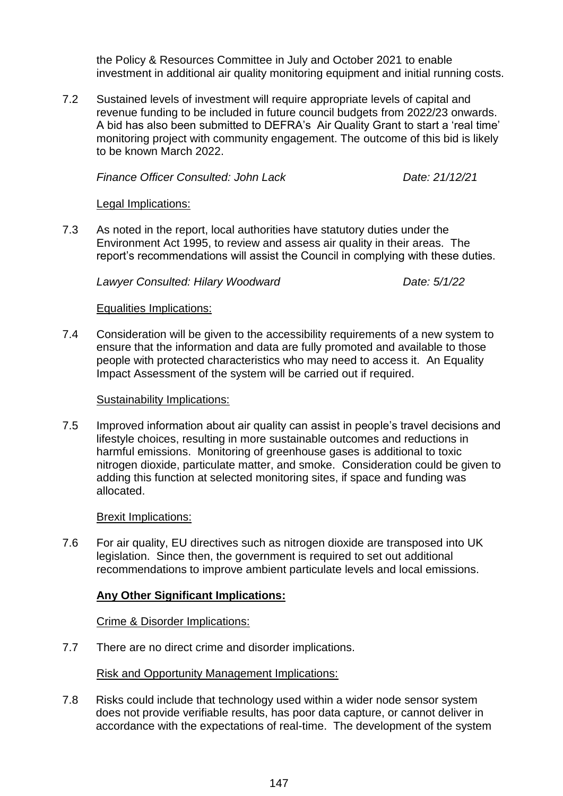the Policy & Resources Committee in July and October 2021 to enable investment in additional air quality monitoring equipment and initial running costs.

7.2 Sustained levels of investment will require appropriate levels of capital and revenue funding to be included in future council budgets from 2022/23 onwards. A bid has also been submitted to DEFRA's Air Quality Grant to start a 'real time' monitoring project with community engagement. The outcome of this bid is likely to be known March 2022.

*Finance Officer Consulted: John Lack Date: 21/12/21*

#### Legal Implications:

7.3 As noted in the report, local authorities have statutory duties under the Environment Act 1995, to review and assess air quality in their areas. The report's recommendations will assist the Council in complying with these duties.

*Lawyer Consulted: Hilary Woodward Date: 5/1/22*

#### Equalities Implications:

7.4 Consideration will be given to the accessibility requirements of a new system to ensure that the information and data are fully promoted and available to those people with protected characteristics who may need to access it. An Equality Impact Assessment of the system will be carried out if required.

#### Sustainability Implications:

7.5 Improved information about air quality can assist in people's travel decisions and lifestyle choices, resulting in more sustainable outcomes and reductions in harmful emissions. Monitoring of greenhouse gases is additional to toxic nitrogen dioxide, particulate matter, and smoke. Consideration could be given to adding this function at selected monitoring sites, if space and funding was allocated.

#### Brexit Implications:

7.6 For air quality, EU directives such as nitrogen dioxide are transposed into UK legislation. Since then, the government is required to set out additional recommendations to improve ambient particulate levels and local emissions.

## **Any Other Significant Implications:**

## Crime & Disorder Implications:

7.7 There are no direct crime and disorder implications.

#### Risk and Opportunity Management Implications:

7.8 Risks could include that technology used within a wider node sensor system does not provide verifiable results, has poor data capture, or cannot deliver in accordance with the expectations of real-time. The development of the system